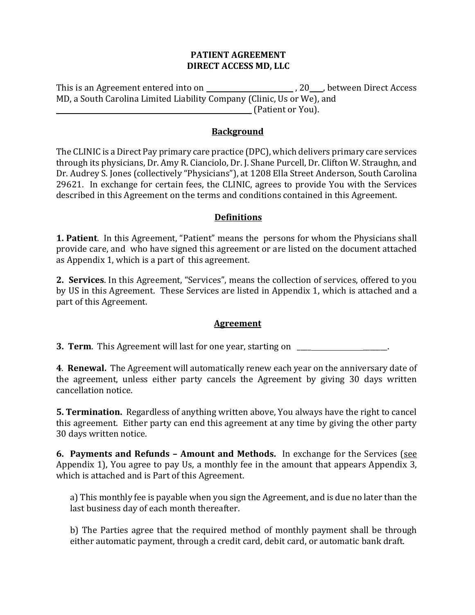### **PATIENT AGREEMENT DIRECT ACCESS MD, LLC**

This is an Agreement entered into on \_\_\_\_\_\_\_\_\_\_\_\_\_\_\_\_\_\_\_\_\_\_\_\_, 20\_\_\_, between Direct Access MD, a South Carolina Limited Liability Company (Clinic, Us or We), and **Example 2.1** (Patient or You).

### **Background**

The CLINIC is a Direct Pay primary care practice (DPC), which delivers primary care services through its physicians, Dr. Amy R. Cianciolo, Dr. J. Shane Purcell, Dr. Clifton W. Straughn, and Dr. Audrey S. Jones (collectively "Physicians"), at 1208 Ella Street Anderson, South Carolina 29621. In exchange for certain fees, the CLINIC, agrees to provide You with the Services described in this Agreement on the terms and conditions contained in this Agreement.

### **Definitions**

**1. Patient**. In this Agreement, "Patient" means the persons for whom the Physicians shall provide care, and who have signed this agreement or are listed on the document attached as Appendix 1, which is a part of this agreement.

2. Services. In this Agreement, "Services", means the collection of services, offered to you by US in this Agreement. These Services are listed in Appendix 1, which is attached and a part of this Agreement.

### **Agreement**

**3. Term.** This Agreement will last for one year, starting on **Theorem** 2.

**4. Renewal.** The Agreement will automatically renew each year on the anniversary date of the agreement, unless either party cancels the Agreement by giving 30 days written cancellation notice.

**5. Termination.** Regardless of anything written above, You always have the right to cancel this agreement. Either party can end this agreement at any time by giving the other party 30 days written notice.

**6. Payments and Refunds - Amount and Methods.** In exchange for the Services (see Appendix 1), You agree to pay Us, a monthly fee in the amount that appears Appendix 3, which is attached and is Part of this Agreement.

a) This monthly fee is payable when you sign the Agreement, and is due no later than the last business day of each month thereafter.

b) The Parties agree that the required method of monthly payment shall be through either automatic payment, through a credit card, debit card, or automatic bank draft.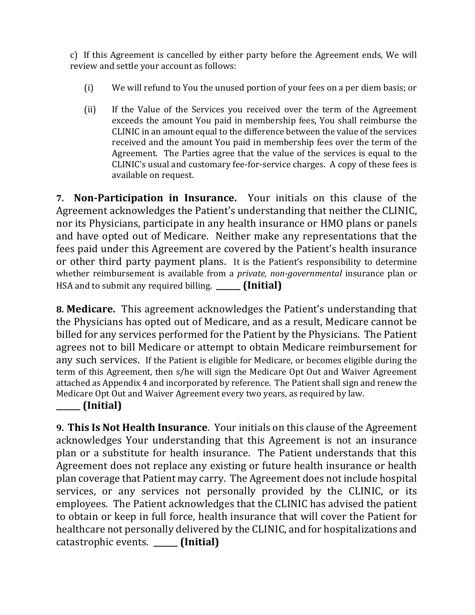c) If this Agreement is cancelled by either party before the Agreement ends, We will review and settle your account as follows:

- (i) We will refund to You the unused portion of your fees on a per diem basis; or
- (ii) If the Value of the Services you received over the term of the Agreement exceeds the amount You paid in membership fees, You shall reimburse the CLINIC in an amount equal to the difference between the value of the services received and the amount You paid in membership fees over the term of the Agreement. The Parties agree that the value of the services is equal to the CLINIC's usual and customary fee-for-service charges. A copy of these fees is available on request.

**7. Non-Participation in Insurance.** Your initials on this clause of the Agreement acknowledges the Patient's understanding that neither the CLINIC, nor its Physicians, participate in any health insurance or HMO plans or panels and have opted out of Medicare. Neither make any representations that the fees paid under this Agreement are covered by the Patient's health insurance or other third party payment plans. It is the Patient's responsibility to determine whether reimbursement is available from a *private, non-governmental* insurance plan or HSA and to submit any required billing. **\_\_\_\_\_ (Initial)** 

**8. Medicare.** This agreement acknowledges the Patient's understanding that the Physicians has opted out of Medicare, and as a result, Medicare cannot be billed for any services performed for the Patient by the Physicians. The Patient agrees not to bill Medicare or attempt to obtain Medicare reimbursement for any such services. If the Patient is eligible for Medicare, or becomes eligible during the term of this Agreement, then s/he will sign the Medicare Opt Out and Waiver Agreement attached as Appendix 4 and incorporated by reference. The Patient shall sign and renew the Medicare Opt Out and Waiver Agreement every two years, as required by law.

**\_\_\_\_\_\_ (Initial)**

**9. This Is Not Health Insurance.** Your initials on this clause of the Agreement acknowledges Your understanding that this Agreement is not an insurance plan or a substitute for health insurance. The Patient understands that this Agreement does not replace any existing or future health insurance or health plan coverage that Patient may carry. The Agreement does not include hospital services, or any services not personally provided by the CLINIC, or its employees. The Patient acknowledges that the CLINIC has advised the patient to obtain or keep in full force, health insurance that will cover the Patient for healthcare not personally delivered by the CLINIC, and for hospitalizations and catastrophic events. *[Initial]*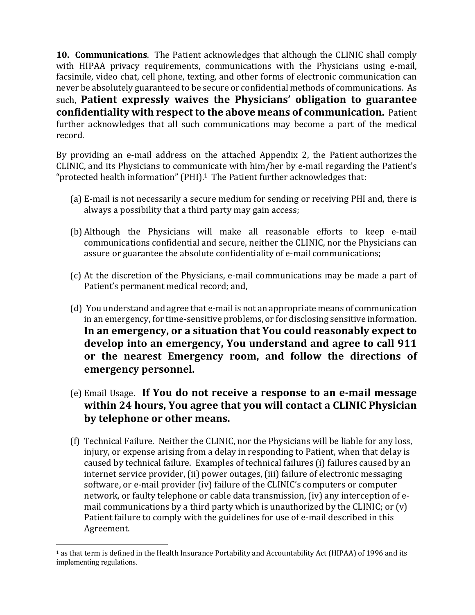**10. Communications.** The Patient acknowledges that although the CLINIC shall comply with HIPAA privacy requirements, communications with the Physicians using e-mail, facsimile, video chat, cell phone, texting, and other forms of electronic communication can never be absolutely guaranteed to be secure or confidential methods of communications. As such, Patient expressly waives the Physicians' obligation to guarantee **confidentiality with respect to the above means of communication.** Patient further acknowledges that all such communications may become a part of the medical record.

By providing an e-mail address on the attached Appendix 2, the Patient authorizes the CLINIC, and its Physicians to communicate with him/her by e-mail regarding the Patient's "protected health information" (PHI).<sup>1</sup> The Patient further acknowledges that:

- (a) E-mail is not necessarily a secure medium for sending or receiving PHI and, there is always a possibility that a third party may gain access;
- (b) Although the Physicians will make all reasonable efforts to keep e-mail communications confidential and secure, neither the CLINIC, nor the Physicians can assure or guarantee the absolute confidentiality of e-mail communications;
- (c) At the discretion of the Physicians, e-mail communications may be made a part of Patient's permanent medical record; and,
- (d) You understand and agree that e-mail is not an appropriate means of communication in an emergency, for time-sensitive problems, or for disclosing sensitive information. In an emergency, or a situation that You could reasonably expect to develop into an emergency, You understand and agree to call 911 or the nearest Emergency room, and follow the directions of **emergency personnel.**
- (e) Email Usage. If You do not receive a response to an e-mail message **within 24 hours, You agree that you will contact a CLINIC Physician** by telephone or other means.
- (f) Technical Failure. Neither the CLINIC, nor the Physicians will be liable for any loss, injury, or expense arising from a delay in responding to Patient, when that delay is caused by technical failure. Examples of technical failures (i) failures caused by an internet service provider, (ii) power outages, (iii) failure of electronic messaging software, or e-mail provider (iv) failure of the CLINIC's computers or computer network, or faulty telephone or cable data transmission, (iv) any interception of email communications by a third party which is unauthorized by the CLINIC; or  $(v)$ Patient failure to comply with the guidelines for use of e-mail described in this Agreement.

 $1$  as that term is defined in the Health Insurance Portability and Accountability Act (HIPAA) of 1996 and its implementing regulations.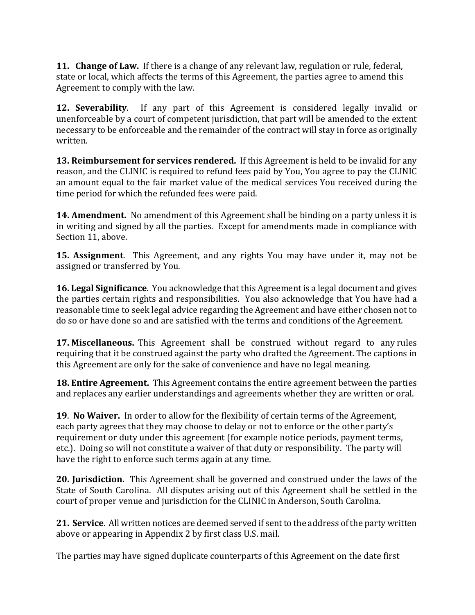**11. Change of Law.** If there is a change of any relevant law, regulation or rule, federal, state or local, which affects the terms of this Agreement, the parties agree to amend this Agreement to comply with the law.

**12. Severability.** If any part of this Agreement is considered legally invalid or unenforceable by a court of competent jurisdiction, that part will be amended to the extent necessary to be enforceable and the remainder of the contract will stay in force as originally written. 

**13. Reimbursement for services rendered.** If this Agreement is held to be invalid for any reason, and the CLINIC is required to refund fees paid by You, You agree to pay the CLINIC an amount equal to the fair market value of the medical services You received during the time period for which the refunded fees were paid.

**14. Amendment.** No amendment of this Agreement shall be binding on a party unless it is in writing and signed by all the parties. Except for amendments made in compliance with Section 11, above.

**15. Assignment**. This Agreement, and any rights You may have under it, may not be assigned or transferred by You.

**16. Legal Significance**. You acknowledge that this Agreement is a legal document and gives the parties certain rights and responsibilities. You also acknowledge that You have had a reasonable time to seek legal advice regarding the Agreement and have either chosen not to do so or have done so and are satisfied with the terms and conditions of the Agreement.

**17. Miscellaneous.** This Agreement shall be construed without regard to any rules requiring that it be construed against the party who drafted the Agreement. The captions in this Agreement are only for the sake of convenience and have no legal meaning.

**18. Entire Agreement.** This Agreement contains the entire agreement between the parties and replaces any earlier understandings and agreements whether they are written or oral.

**19. No Waiver.** In order to allow for the flexibility of certain terms of the Agreement, each party agrees that they may choose to delay or not to enforce or the other party's requirement or duty under this agreement (for example notice periods, payment terms, etc.). Doing so will not constitute a waiver of that duty or responsibility. The party will have the right to enforce such terms again at any time.

**20. Jurisdiction.** This Agreement shall be governed and construed under the laws of the State of South Carolina. All disputes arising out of this Agreement shall be settled in the court of proper venue and jurisdiction for the CLINIC in Anderson, South Carolina.

**21. Service**. All written notices are deemed served if sent to the address of the party written above or appearing in Appendix 2 by first class U.S. mail.

The parties may have signed duplicate counterparts of this Agreement on the date first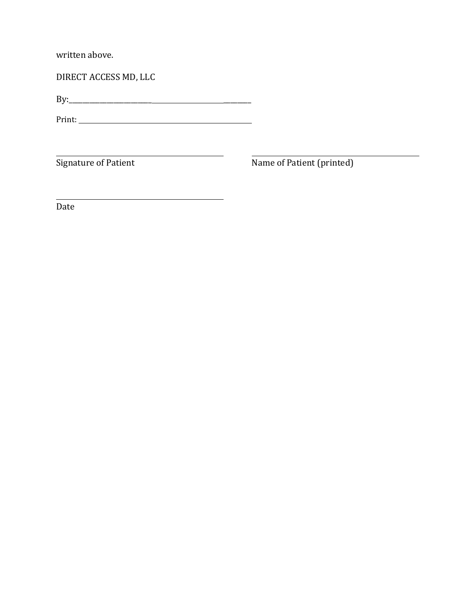written above.

DIRECT ACCESS MD, LLC

By:\_\_\_\_\_\_\_\_\_\_\_\_\_\_\_\_\_\_\_\_\_\_\_\_ \_\_\_\_\_\_\_\_

Print: 

Signature of Patient **Name of Patient** (printed)

Date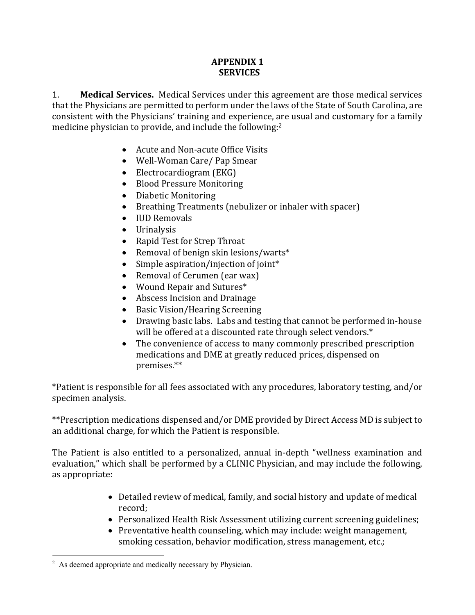## **APPENDIX 1 SERVICES**

1. **Medical Services.** Medical Services under this agreement are those medical services that the Physicians are permitted to perform under the laws of the State of South Carolina, are consistent with the Physicians' training and experience, are usual and customary for a family medicine physician to provide, and include the following:<sup>2</sup>

- Acute and Non-acute Office Visits
- Well-Woman Care/ Pap Smear
- Electrocardiogram (EKG)
- Blood Pressure Monitoring
- Diabetic Monitoring
- Breathing Treatments (nebulizer or inhaler with spacer)
- IUD Removals
- Urinalysis
- Rapid Test for Strep Throat
- Removal of benign skin lesions/warts\*
- Simple aspiration/injection of joint\*
- Removal of Cerumen (ear wax)
- Wound Repair and Sutures\*
- Abscess Incision and Drainage
- Basic Vision/Hearing Screening
- Drawing basic labs. Labs and testing that cannot be performed in-house will be offered at a discounted rate through select vendors.\*
- The convenience of access to many commonly prescribed prescription medications and DME at greatly reduced prices, dispensed on premises.\*\*

\*Patient is responsible for all fees associated with any procedures, laboratory testing, and/or specimen analysis.

\*\*Prescription medications dispensed and/or DME provided by Direct Access MD is subject to an additional charge, for which the Patient is responsible.

The Patient is also entitled to a personalized, annual in-depth "wellness examination and evaluation," which shall be performed by a CLINIC Physician, and may include the following, as appropriate:

- Detailed review of medical, family, and social history and update of medical record;
- Personalized Health Risk Assessment utilizing current screening guidelines;
- Preventative health counseling, which may include: weight management, smoking cessation, behavior modification, stress management, etc.;

<sup>&</sup>lt;sup>2</sup> As deemed appropriate and medically necessary by Physician.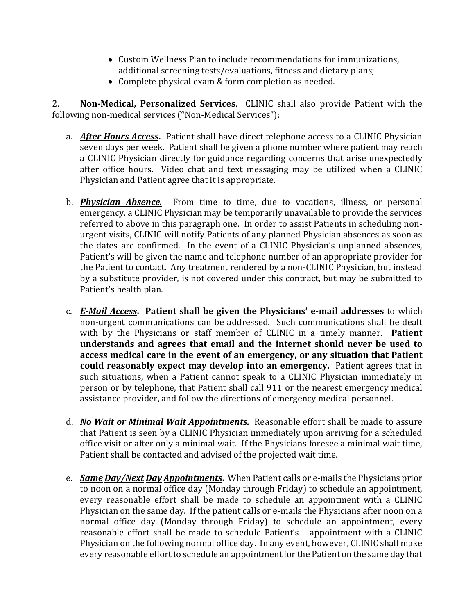- Custom Wellness Plan to include recommendations for immunizations, additional screening tests/evaluations, fitness and dietary plans;
- Complete physical exam & form completion as needed.

2. **Non-Medical, Personalized Services**. CLINIC shall also provide Patient with the following non-medical services ("Non-Medical Services"):

- a. *After Hours Access*. Patient shall have direct telephone access to a CLINIC Physician seven days per week. Patient shall be given a phone number where patient may reach a CLINIC Physician directly for guidance regarding concerns that arise unexpectedly after office hours. Video chat and text messaging may be utilized when a CLINIC Physician and Patient agree that it is appropriate.
- b. **Physician Absence.** From time to time, due to vacations, illness, or personal emergency, a CLINIC Physician may be temporarily unavailable to provide the services referred to above in this paragraph one. In order to assist Patients in scheduling nonurgent visits, CLINIC will notify Patients of any planned Physician absences as soon as the dates are confirmed. In the event of a CLINIC Physician's unplanned absences, Patient's will be given the name and telephone number of an appropriate provider for the Patient to contact. Any treatment rendered by a non-CLINIC Physician, but instead by a substitute provider, is not covered under this contract, but may be submitted to Patient's health plan.
- c. *E-Mail Access***. Patient shall be given the Physicians' e-mail addresses** to which non-urgent communications can be addressed. Such communications shall be dealt with by the Physicians or staff member of CLINIC in a timely manner. **Patient** understands and agrees that email and the internet should never be used to access medical care in the event of an emergency, or any situation that Patient **could reasonably expect may develop into an emergency.** Patient agrees that in such situations, when a Patient cannot speak to a CLINIC Physician immediately in person or by telephone, that Patient shall call 911 or the nearest emergency medical assistance provider, and follow the directions of emergency medical personnel.
- d. *No Wait or Minimal Wait Appointments.* Reasonable effort shall be made to assure that Patient is seen by a CLINIC Physician immediately upon arriving for a scheduled office visit or after only a minimal wait. If the Physicians foresee a minimal wait time, Patient shall be contacted and advised of the projected wait time.
- e. *Same Day/Next Day Appointments***.** When Patient calls or e-mails the Physicians prior to noon on a normal office day (Monday through Friday) to schedule an appointment, every reasonable effort shall be made to schedule an appointment with a CLINIC Physician on the same day. If the patient calls or e-mails the Physicians after noon on a normal office day (Monday through Friday) to schedule an appointment, every reasonable effort shall be made to schedule Patient's appointment with a CLINIC Physician on the following normal office day. In any event, however, CLINIC shall make every reasonable effort to schedule an appointment for the Patient on the same day that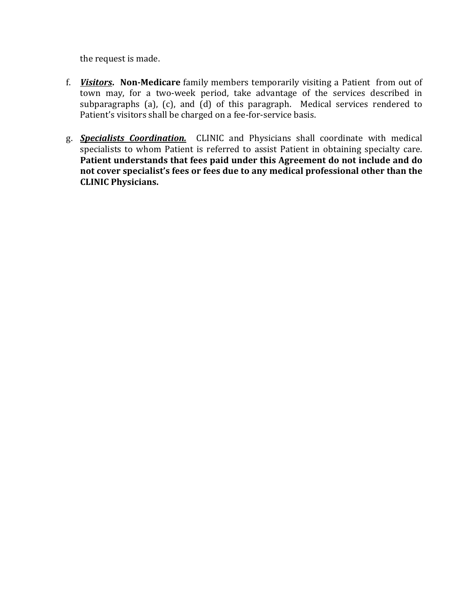the request is made.

- f. **Visitors.** Non-Medicare family members temporarily visiting a Patient from out of town may, for a two-week period, take advantage of the services described in subparagraphs (a), (c), and (d) of this paragraph. Medical services rendered to Patient's visitors shall be charged on a fee-for-service basis.
- g. **Specialists Coordination.** CLINIC and Physicians shall coordinate with medical specialists to whom Patient is referred to assist Patient in obtaining specialty care. Patient understands that fees paid under this Agreement do not include and do not cover specialist's fees or fees due to any medical professional other than the **CLINIC Physicians.**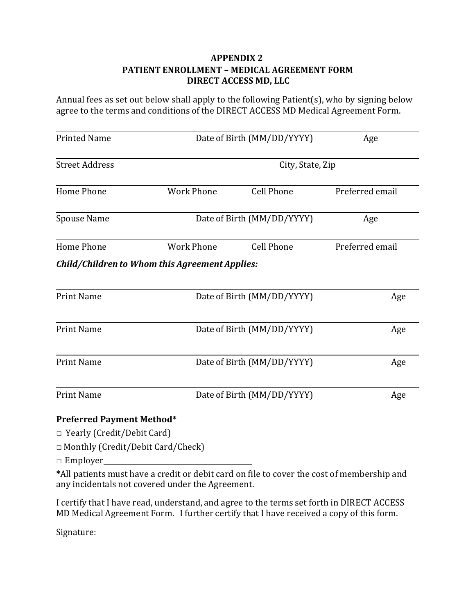## **APPENDIX 2 PATIENT ENROLLMENT – MEDICAL AGREEMENT FORM DIRECT ACCESS MD, LLC**

Annual fees as set out below shall apply to the following Patient(s), who by signing below agree to the terms and conditions of the DIRECT ACCESS MD Medical Agreement Form.

| <b>Printed Name</b>   | Date of Birth (MM/DD/YYYY)                     |                   | Age             |
|-----------------------|------------------------------------------------|-------------------|-----------------|
| <b>Street Address</b> | City, State, Zip                               |                   |                 |
| Home Phone            | <b>Work Phone</b>                              | <b>Cell Phone</b> | Preferred email |
| Spouse Name           | Date of Birth (MM/DD/YYYY)                     |                   | Age             |
| Home Phone            | <b>Work Phone</b>                              | <b>Cell Phone</b> | Preferred email |
|                       | Child/Children to Whom this Agreement Applies: |                   |                 |
| <b>Print Name</b>     | Date of Birth (MM/DD/YYYY)                     |                   | Age             |
| <b>Print Name</b>     | Date of Birth (MM/DD/YYYY)                     |                   | Age             |
| <b>Print Name</b>     | Date of Birth (MM/DD/YYYY)                     |                   | Age             |

Print Name  $Date\ of\ Birth\ (MM/DD/YYYY)\$  Age

### **Preferred Payment Method\***

□ Yearly (Credit/Debit Card)

□ Monthly (Credit/Debit Card/Check)

□ Employer\_\_\_\_\_

\*All patients must have a credit or debit card on file to cover the cost of membership and any incidentals not covered under the Agreement.

I certify that I have read, understand, and agree to the terms set forth in DIRECT ACCESS MD Medical Agreement Form. I further certify that I have received a copy of this form.

Signature: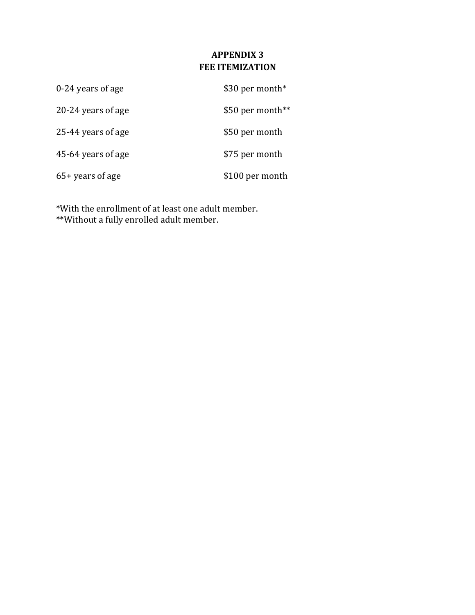# **APPENDIX 3 FEE ITEMIZATION**

| 0-24 years of age  | \$30 per month*  |
|--------------------|------------------|
| 20-24 years of age | \$50 per month** |
| 25-44 years of age | \$50 per month   |
| 45-64 years of age | \$75 per month   |
| $65+$ years of age | \$100 per month  |

\*With the enrollment of at least one adult member.

\*\*Without a fully enrolled adult member.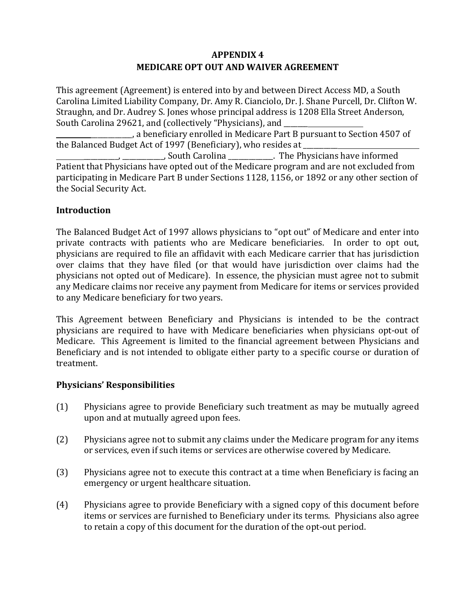# **APPENDIX 4 MEDICARE OPT OUT AND WAIVER AGREEMENT**

This agreement (Agreement) is entered into by and between Direct Access MD, a South Carolina Limited Liability Company, Dr. Amy R. Cianciolo, Dr. J. Shane Purcell, Dr. Clifton W. Straughn, and Dr. Audrey S. Jones whose principal address is 1208 Ella Street Anderson, South Carolina 29621, and (collectively "Physicians), and

, a beneficiary enrolled in Medicare Part B pursuant to Section 4507 of the Balanced Budget Act of 1997 (Beneficiary), who resides at

\_\_\_\_\_\_\_\_\_\_, \_\_\_\_\_\_\_\_\_\_\_\_, South Carolina \_\_\_\_\_\_\_\_\_\_\_\_\_. The Physicians have informed Patient that Physicians have opted out of the Medicare program and are not excluded from participating in Medicare Part B under Sections 1128, 1156, or 1892 or any other section of the Social Security Act.

## **Introduction**

The Balanced Budget Act of 1997 allows physicians to "opt out" of Medicare and enter into private contracts with patients who are Medicare beneficiaries. In order to opt out, physicians are required to file an affidavit with each Medicare carrier that has jurisdiction over claims that they have filed (or that would have jurisdiction over claims had the physicians not opted out of Medicare). In essence, the physician must agree not to submit any Medicare claims nor receive any payment from Medicare for items or services provided to any Medicare beneficiary for two years.

This Agreement between Beneficiary and Physicians is intended to be the contract physicians are required to have with Medicare beneficiaries when physicians opt-out of Medicare. This Agreement is limited to the financial agreement between Physicians and Beneficiary and is not intended to obligate either party to a specific course or duration of treatment.

### **Physicians' Responsibilities**

- (1) Physicians agree to provide Beneficiary such treatment as may be mutually agreed upon and at mutually agreed upon fees.
- (2) Physicians agree not to submit any claims under the Medicare program for any items or services, even if such items or services are otherwise covered by Medicare.
- (3) Physicians agree not to execute this contract at a time when Beneficiary is facing an emergency or urgent healthcare situation.
- (4) Physicians agree to provide Beneficiary with a signed copy of this document before items or services are furnished to Beneficiary under its terms. Physicians also agree to retain a copy of this document for the duration of the opt-out period.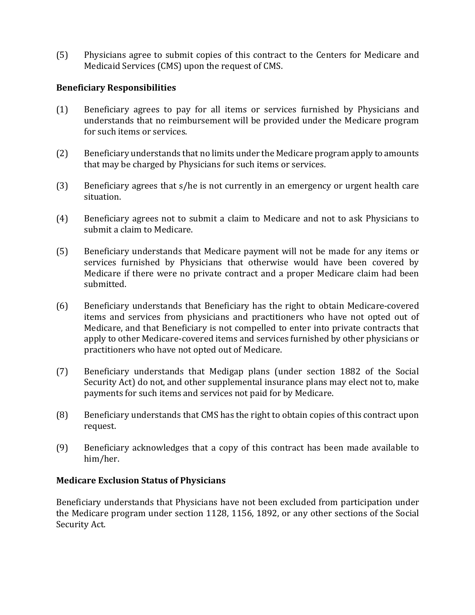(5) Physicians agree to submit copies of this contract to the Centers for Medicare and Medicaid Services (CMS) upon the request of CMS.

### **Beneficiary Responsibilities**

- (1) Beneficiary agrees to pay for all items or services furnished by Physicians and understands that no reimbursement will be provided under the Medicare program for such items or services.
- (2) Beneficiary understands that no limits under the Medicare program apply to amounts that may be charged by Physicians for such items or services.
- (3) Beneficiary agrees that  $s/h$ e is not currently in an emergency or urgent health care situation.
- (4) Beneficiary agrees not to submit a claim to Medicare and not to ask Physicians to submit a claim to Medicare.
- (5) Beneficiary understands that Medicare payment will not be made for any items or services furnished by Physicians that otherwise would have been covered by Medicare if there were no private contract and a proper Medicare claim had been submitted.
- (6) Beneficiary understands that Beneficiary has the right to obtain Medicare-covered items and services from physicians and practitioners who have not opted out of Medicare, and that Beneficiary is not compelled to enter into private contracts that apply to other Medicare-covered items and services furnished by other physicians or practitioners who have not opted out of Medicare.
- (7) Beneficiary understands that Medigap plans (under section 1882 of the Social Security Act) do not, and other supplemental insurance plans may elect not to, make payments for such items and services not paid for by Medicare.
- (8) Beneficiary understands that CMS has the right to obtain copies of this contract upon request.
- (9) Beneficiary acknowledges that a copy of this contract has been made available to him/her.

#### **Medicare Exclusion Status of Physicians**

Beneficiary understands that Physicians have not been excluded from participation under the Medicare program under section 1128, 1156, 1892, or any other sections of the Social Security Act.